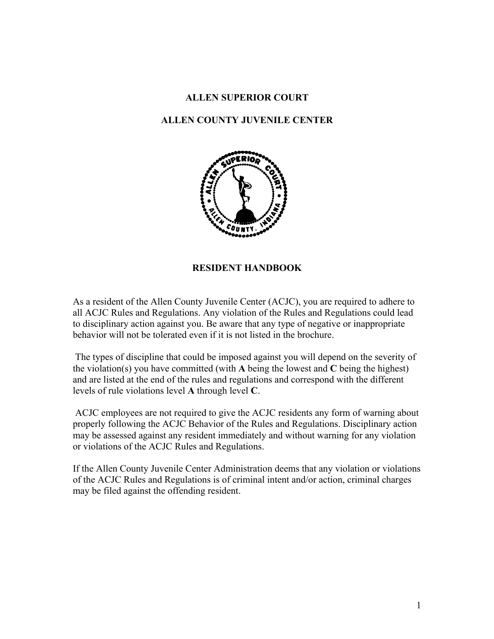### **ALLEN SUPERIOR COURT**

## **ALLEN COUNTY JUVENILE CENTER**



**RESIDENT HANDBOOK**

As a resident of the Allen County Juvenile Center (ACJC), you are required to adhere to all ACJC Rules and Regulations. Any violation of the Rules and Regulations could lead to disciplinary action against you. Be aware that any type of negative or inappropriate behavior will not be tolerated even if it is not listed in the brochure.

The types of discipline that could be imposed against you will depend on the severity of the violation(s) you have committed (with **A** being the lowest and **C** being the highest) and are listed at the end of the rules and regulations and correspond with the different levels of rule violations level **A** through level **C**.

ACJC employees are not required to give the ACJC residents any form of warning about properly following the ACJC Behavior of the Rules and Regulations. Disciplinary action may be assessed against any resident immediately and without warning for any violation or violations of the ACJC Rules and Regulations.

If the Allen County Juvenile Center Administration deems that any violation or violations of the ACJC Rules and Regulations is of criminal intent and/or action, criminal charges may be filed against the offending resident.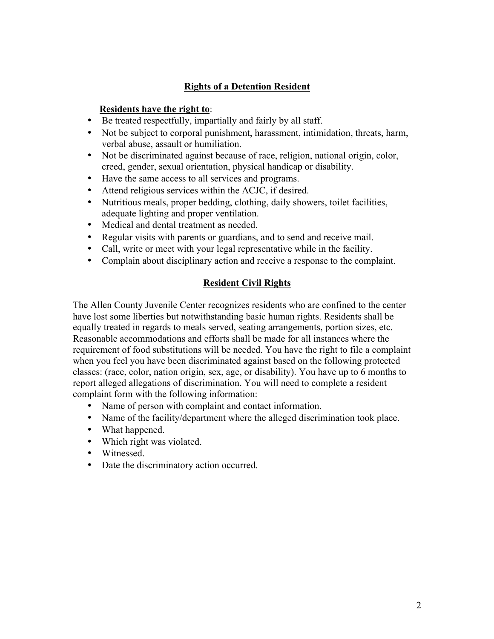## **Rights of a Detention Resident**

## **Residents have the right to**:

- Be treated respectfully, impartially and fairly by all staff.
- Not be subject to corporal punishment, harassment, intimidation, threats, harm, verbal abuse, assault or humiliation.
- Not be discriminated against because of race, religion, national origin, color, creed, gender, sexual orientation, physical handicap or disability.
- Have the same access to all services and programs.
- Attend religious services within the ACJC, if desired.
- Nutritious meals, proper bedding, clothing, daily showers, toilet facilities, adequate lighting and proper ventilation.
- Medical and dental treatment as needed.
- Regular visits with parents or guardians, and to send and receive mail.
- Call, write or meet with your legal representative while in the facility.
- Complain about disciplinary action and receive a response to the complaint.

## **Resident Civil Rights**

The Allen County Juvenile Center recognizes residents who are confined to the center have lost some liberties but notwithstanding basic human rights. Residents shall be equally treated in regards to meals served, seating arrangements, portion sizes, etc. Reasonable accommodations and efforts shall be made for all instances where the requirement of food substitutions will be needed. You have the right to file a complaint when you feel you have been discriminated against based on the following protected classes: (race, color, nation origin, sex, age, or disability). You have up to 6 months to report alleged allegations of discrimination. You will need to complete a resident complaint form with the following information:

- Name of person with complaint and contact information.
- Name of the facility/department where the alleged discrimination took place.
- What happened.
- Which right was violated.
- Witnessed.
- Date the discriminatory action occurred.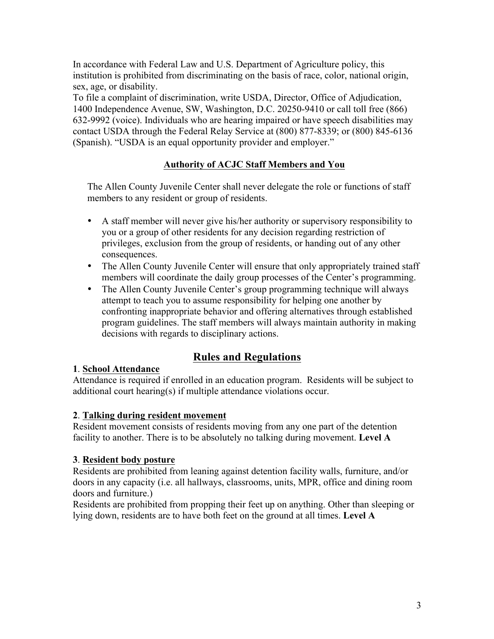In accordance with Federal Law and U.S. Department of Agriculture policy, this institution is prohibited from discriminating on the basis of race, color, national origin, sex, age, or disability.

To file a complaint of discrimination, write USDA, Director, Office of Adjudication, 1400 Independence Avenue, SW, Washington, D.C. 20250-9410 or call toll free (866) 632-9992 (voice). Individuals who are hearing impaired or have speech disabilities may contact USDA through the Federal Relay Service at (800) 877-8339; or (800) 845-6136 (Spanish). "USDA is an equal opportunity provider and employer."

## **Authority of ACJC Staff Members and You**

The Allen County Juvenile Center shall never delegate the role or functions of staff members to any resident or group of residents.

- A staff member will never give his/her authority or supervisory responsibility to you or a group of other residents for any decision regarding restriction of privileges, exclusion from the group of residents, or handing out of any other consequences.
- The Allen County Juvenile Center will ensure that only appropriately trained staff members will coordinate the daily group processes of the Center's programming.
- The Allen County Juvenile Center's group programming technique will always attempt to teach you to assume responsibility for helping one another by confronting inappropriate behavior and offering alternatives through established program guidelines. The staff members will always maintain authority in making decisions with regards to disciplinary actions.

# **Rules and Regulations**

## **1**. **School Attendance**

Attendance is required if enrolled in an education program. Residents will be subject to additional court hearing(s) if multiple attendance violations occur.

## **2**. **Talking during resident movement**

Resident movement consists of residents moving from any one part of the detention facility to another. There is to be absolutely no talking during movement. **Level A**

## **3**. **Resident body posture**

Residents are prohibited from leaning against detention facility walls, furniture, and/or doors in any capacity (i.e. all hallways, classrooms, units, MPR, office and dining room doors and furniture.)

Residents are prohibited from propping their feet up on anything. Other than sleeping or lying down, residents are to have both feet on the ground at all times. **Level A**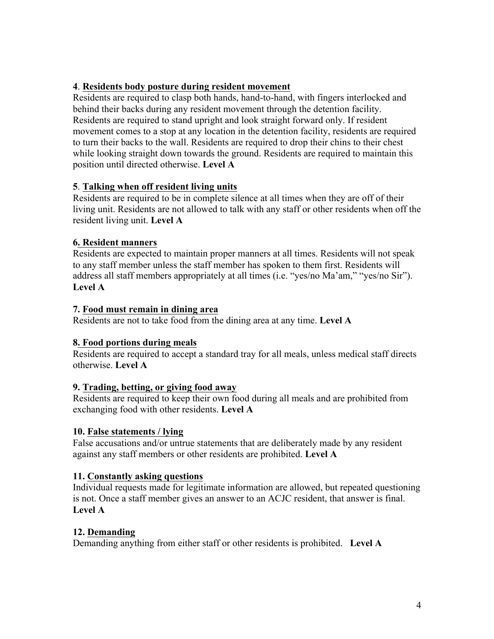## **4**. **Residents body posture during resident movement**

Residents are required to clasp both hands, hand-to-hand, with fingers interlocked and behind their backs during any resident movement through the detention facility. Residents are required to stand upright and look straight forward only. If resident movement comes to a stop at any location in the detention facility, residents are required to turn their backs to the wall. Residents are required to drop their chins to their chest while looking straight down towards the ground. Residents are required to maintain this position until directed otherwise. **Level A**

## **5**. **Talking when off resident living units**

Residents are required to be in complete silence at all times when they are off of their living unit. Residents are not allowed to talk with any staff or other residents when off the resident living unit. **Level A**

## **6. Resident manners**

Residents are expected to maintain proper manners at all times. Residents will not speak to any staff member unless the staff member has spoken to them first. Residents will address all staff members appropriately at all times (i.e. "yes/no Ma'am," "yes/no Sir"). **Level A**

## **7. Food must remain in dining area**

Residents are not to take food from the dining area at any time. **Level A**

## **8. Food portions during meals**

Residents are required to accept a standard tray for all meals, unless medical staff directs otherwise. **Level A**

## **9. Trading, betting, or giving food away**

Residents are required to keep their own food during all meals and are prohibited from exchanging food with other residents. **Level A**

## **10. False statements / lying**

False accusations and/or untrue statements that are deliberately made by any resident against any staff members or other residents are prohibited. **Level A**

## **11. Constantly asking questions**

Individual requests made for legitimate information are allowed, but repeated questioning is not. Once a staff member gives an answer to an ACJC resident, that answer is final. **Level A**

## **12. Demanding**

Demanding anything from either staff or other residents is prohibited. **Level A**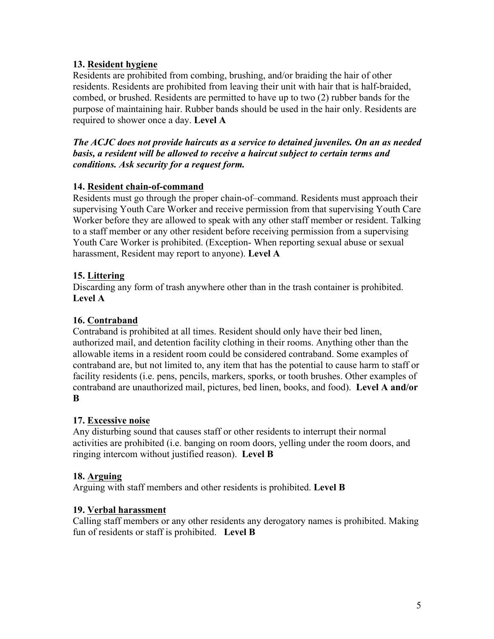## **13. Resident hygiene**

Residents are prohibited from combing, brushing, and/or braiding the hair of other residents. Residents are prohibited from leaving their unit with hair that is half-braided, combed, or brushed. Residents are permitted to have up to two (2) rubber bands for the purpose of maintaining hair. Rubber bands should be used in the hair only. Residents are required to shower once a day. **Level A**

## *The ACJC does not provide haircuts as a service to detained juveniles. On an as needed basis, a resident will be allowed to receive a haircut subject to certain terms and conditions. Ask security for a request form.*

## **14. Resident chain-of-command**

Residents must go through the proper chain-of–command. Residents must approach their supervising Youth Care Worker and receive permission from that supervising Youth Care Worker before they are allowed to speak with any other staff member or resident. Talking to a staff member or any other resident before receiving permission from a supervising Youth Care Worker is prohibited. (Exception- When reporting sexual abuse or sexual harassment, Resident may report to anyone). **Level A**

## **15. Littering**

Discarding any form of trash anywhere other than in the trash container is prohibited. **Level A**

## **16. Contraband**

Contraband is prohibited at all times. Resident should only have their bed linen, authorized mail, and detention facility clothing in their rooms. Anything other than the allowable items in a resident room could be considered contraband. Some examples of contraband are, but not limited to, any item that has the potential to cause harm to staff or facility residents (i.e. pens, pencils, markers, sporks, or tooth brushes. Other examples of contraband are unauthorized mail, pictures, bed linen, books, and food). **Level A and/or B**

## **17. Excessive noise**

Any disturbing sound that causes staff or other residents to interrupt their normal activities are prohibited (i.e. banging on room doors, yelling under the room doors, and ringing intercom without justified reason). **Level B**

## **18. Arguing**

Arguing with staff members and other residents is prohibited. **Level B**

## **19. Verbal harassment**

Calling staff members or any other residents any derogatory names is prohibited. Making fun of residents or staff is prohibited. **Level B**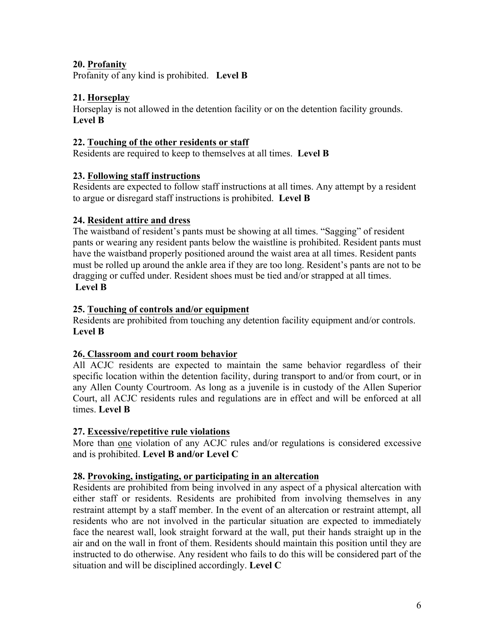## **20. Profanity**

Profanity of any kind is prohibited. **Level B**

## **21. Horseplay**

Horseplay is not allowed in the detention facility or on the detention facility grounds. **Level B**

## **22. Touching of the other residents or staff**

Residents are required to keep to themselves at all times. **Level B**

## **23. Following staff instructions**

Residents are expected to follow staff instructions at all times. Any attempt by a resident to argue or disregard staff instructions is prohibited. **Level B**

## **24. Resident attire and dress**

The waistband of resident's pants must be showing at all times. "Sagging" of resident pants or wearing any resident pants below the waistline is prohibited. Resident pants must have the waistband properly positioned around the waist area at all times. Resident pants must be rolled up around the ankle area if they are too long. Resident's pants are not to be dragging or cuffed under. Resident shoes must be tied and/or strapped at all times. **Level B**

## **25. Touching of controls and/or equipment**

Residents are prohibited from touching any detention facility equipment and/or controls. **Level B**

## **26. Classroom and court room behavior**

All ACJC residents are expected to maintain the same behavior regardless of their specific location within the detention facility, during transport to and/or from court, or in any Allen County Courtroom. As long as a juvenile is in custody of the Allen Superior Court, all ACJC residents rules and regulations are in effect and will be enforced at all times. **Level B**

## **27. Excessive/repetitive rule violations**

More than one violation of any ACJC rules and/or regulations is considered excessive and is prohibited. **Level B and/or Level C**

## **28. Provoking, instigating, or participating in an altercation**

Residents are prohibited from being involved in any aspect of a physical altercation with either staff or residents. Residents are prohibited from involving themselves in any restraint attempt by a staff member. In the event of an altercation or restraint attempt, all residents who are not involved in the particular situation are expected to immediately face the nearest wall, look straight forward at the wall, put their hands straight up in the air and on the wall in front of them. Residents should maintain this position until they are instructed to do otherwise. Any resident who fails to do this will be considered part of the situation and will be disciplined accordingly. **Level C**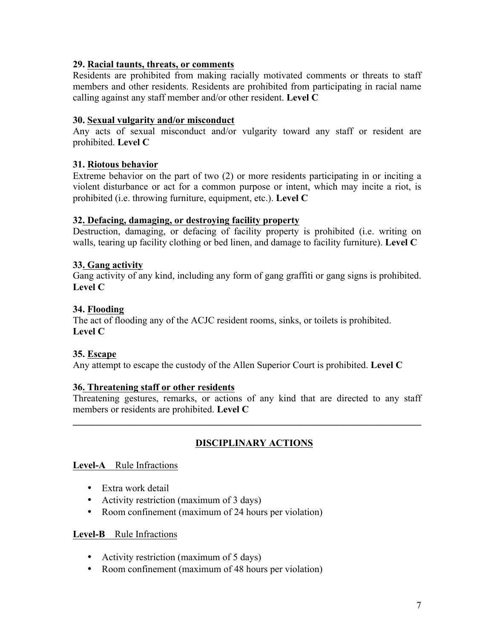### **29. Racial taunts, threats, or comments**

Residents are prohibited from making racially motivated comments or threats to staff members and other residents. Residents are prohibited from participating in racial name calling against any staff member and/or other resident. **Level C**

### **30. Sexual vulgarity and/or misconduct**

Any acts of sexual misconduct and/or vulgarity toward any staff or resident are prohibited. **Level C**

### **31. Riotous behavior**

Extreme behavior on the part of two (2) or more residents participating in or inciting a violent disturbance or act for a common purpose or intent, which may incite a riot, is prohibited (i.e. throwing furniture, equipment, etc.). **Level C**

### **32. Defacing, damaging, or destroying facility property**

Destruction, damaging, or defacing of facility property is prohibited (i.e. writing on walls, tearing up facility clothing or bed linen, and damage to facility furniture). **Level C**

### **33. Gang activity**

Gang activity of any kind, including any form of gang graffiti or gang signs is prohibited. **Level C**

### **34. Flooding**

The act of flooding any of the ACJC resident rooms, sinks, or toilets is prohibited. **Level C**

## **35. Escape**

Any attempt to escape the custody of the Allen Superior Court is prohibited. **Level C**

#### **36. Threatening staff or other residents**

Threatening gestures, remarks, or actions of any kind that are directed to any staff members or residents are prohibited. **Level C**

**\_\_\_\_\_\_\_\_\_\_\_\_\_\_\_\_\_\_\_\_\_\_\_\_\_\_\_\_\_\_\_\_\_\_\_\_\_\_\_\_\_\_\_\_\_\_\_\_\_\_\_\_\_\_\_\_\_\_\_\_\_\_\_\_\_\_\_\_\_\_\_\_**

## **DISCIPLINARY ACTIONS**

#### **Level-A** Rule Infractions

- Extra work detail
- Activity restriction (maximum of 3 days)
- Room confinement (maximum of 24 hours per violation)

### **Level-B** Rule Infractions

- Activity restriction (maximum of 5 days)
- Room confinement (maximum of 48 hours per violation)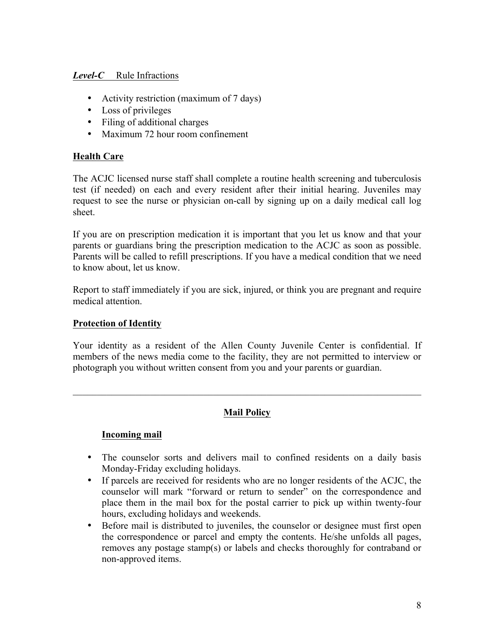## *Level-C* Rule Infractions

- Activity restriction (maximum of 7 days)
- Loss of privileges
- Filing of additional charges
- Maximum 72 hour room confinement

## **Health Care**

The ACJC licensed nurse staff shall complete a routine health screening and tuberculosis test (if needed) on each and every resident after their initial hearing. Juveniles may request to see the nurse or physician on-call by signing up on a daily medical call log sheet.

If you are on prescription medication it is important that you let us know and that your parents or guardians bring the prescription medication to the ACJC as soon as possible. Parents will be called to refill prescriptions. If you have a medical condition that we need to know about, let us know.

Report to staff immediately if you are sick, injured, or think you are pregnant and require medical attention.

## **Protection of Identity**

Your identity as a resident of the Allen County Juvenile Center is confidential. If members of the news media come to the facility, they are not permitted to interview or photograph you without written consent from you and your parents or guardian.

## **Mail Policy**

 $\mathcal{L}_\mathcal{L} = \{ \mathcal{L}_\mathcal{L} = \{ \mathcal{L}_\mathcal{L} = \{ \mathcal{L}_\mathcal{L} = \{ \mathcal{L}_\mathcal{L} = \{ \mathcal{L}_\mathcal{L} = \{ \mathcal{L}_\mathcal{L} = \{ \mathcal{L}_\mathcal{L} = \{ \mathcal{L}_\mathcal{L} = \{ \mathcal{L}_\mathcal{L} = \{ \mathcal{L}_\mathcal{L} = \{ \mathcal{L}_\mathcal{L} = \{ \mathcal{L}_\mathcal{L} = \{ \mathcal{L}_\mathcal{L} = \{ \mathcal{L}_\mathcal{$ 

## **Incoming mail**

- The counselor sorts and delivers mail to confined residents on a daily basis Monday-Friday excluding holidays.
- If parcels are received for residents who are no longer residents of the ACJC, the counselor will mark "forward or return to sender" on the correspondence and place them in the mail box for the postal carrier to pick up within twenty-four hours, excluding holidays and weekends.
- Before mail is distributed to juveniles, the counselor or designee must first open the correspondence or parcel and empty the contents. He/she unfolds all pages, removes any postage stamp(s) or labels and checks thoroughly for contraband or non-approved items.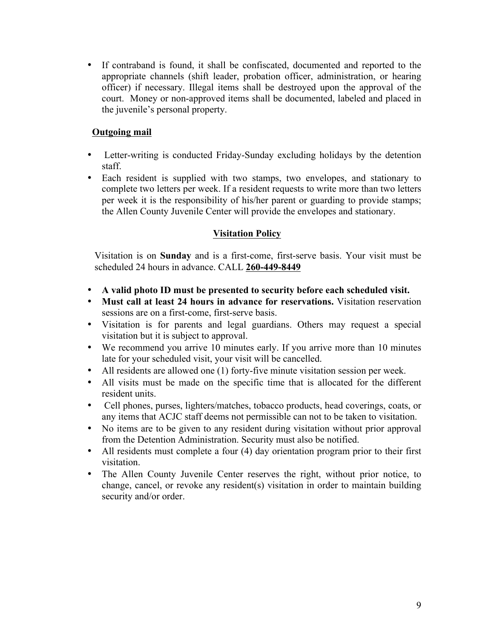• If contraband is found, it shall be confiscated, documented and reported to the appropriate channels (shift leader, probation officer, administration, or hearing officer) if necessary. Illegal items shall be destroyed upon the approval of the court. Money or non-approved items shall be documented, labeled and placed in the juvenile's personal property.

## **Outgoing mail**

- Letter-writing is conducted Friday-Sunday excluding holidays by the detention staff.
- Each resident is supplied with two stamps, two envelopes, and stationary to complete two letters per week. If a resident requests to write more than two letters per week it is the responsibility of his/her parent or guarding to provide stamps; the Allen County Juvenile Center will provide the envelopes and stationary.

## **Visitation Policy**

Visitation is on **Sunday** and is a first-come, first-serve basis. Your visit must be scheduled 24 hours in advance. CALL **260-449-8449**

- **A valid photo ID must be presented to security before each scheduled visit.**
- **Must call at least 24 hours in advance for reservations.** Visitation reservation sessions are on a first-come, first-serve basis.
- Visitation is for parents and legal guardians. Others may request a special visitation but it is subject to approval.
- We recommend you arrive 10 minutes early. If you arrive more than 10 minutes late for your scheduled visit, your visit will be cancelled.
- All residents are allowed one (1) forty-five minute visitation session per week.
- All visits must be made on the specific time that is allocated for the different resident units.
- Cell phones, purses, lighters/matches, tobacco products, head coverings, coats, or any items that ACJC staff deems not permissible can not to be taken to visitation.
- No items are to be given to any resident during visitation without prior approval from the Detention Administration. Security must also be notified.
- All residents must complete a four (4) day orientation program prior to their first visitation.
- The Allen County Juvenile Center reserves the right, without prior notice, to change, cancel, or revoke any resident(s) visitation in order to maintain building security and/or order.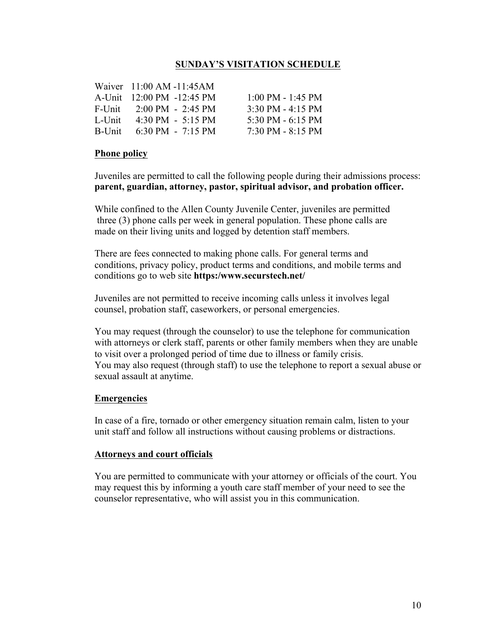## **SUNDAY'S VISITATION SCHEDULE**

|           | Waiver $11:00$ AM -11:45AM                 |                                     |
|-----------|--------------------------------------------|-------------------------------------|
|           | A-Unit 12:00 PM -12:45 PM                  | $1:00$ PM - $1:45$ PM               |
|           | F-Unit $2:00 \text{ PM} - 2:45 \text{ PM}$ | $3:30 \text{ PM} - 4:15 \text{ PM}$ |
| $L$ -Unit | $4:30 \text{ PM} - 5:15 \text{ PM}$        | 5:30 PM $-6:15$ PM                  |
|           | B-Unit $6:30 \text{ PM} - 7:15 \text{ PM}$ | $7:30 \text{ PM} - 8:15 \text{ PM}$ |

#### **Phone policy**

Juveniles are permitted to call the following people during their admissions process: **parent, guardian, attorney, pastor, spiritual advisor, and probation officer.**

 While confined to the Allen County Juvenile Center, juveniles are permitted three (3) phone calls per week in general population. These phone calls are made on their living units and logged by detention staff members.

 There are fees connected to making phone calls. For general terms and conditions, privacy policy, product terms and conditions, and mobile terms and conditions go to web site **https:/www.securstech.net/**

Juveniles are not permitted to receive incoming calls unless it involves legal counsel, probation staff, caseworkers, or personal emergencies.

You may request (through the counselor) to use the telephone for communication with attorneys or clerk staff, parents or other family members when they are unable to visit over a prolonged period of time due to illness or family crisis. You may also request (through staff) to use the telephone to report a sexual abuse or sexual assault at anytime.

#### **Emergencies**

In case of a fire, tornado or other emergency situation remain calm, listen to your unit staff and follow all instructions without causing problems or distractions.

#### **Attorneys and court officials**

You are permitted to communicate with your attorney or officials of the court. You may request this by informing a youth care staff member of your need to see the counselor representative, who will assist you in this communication.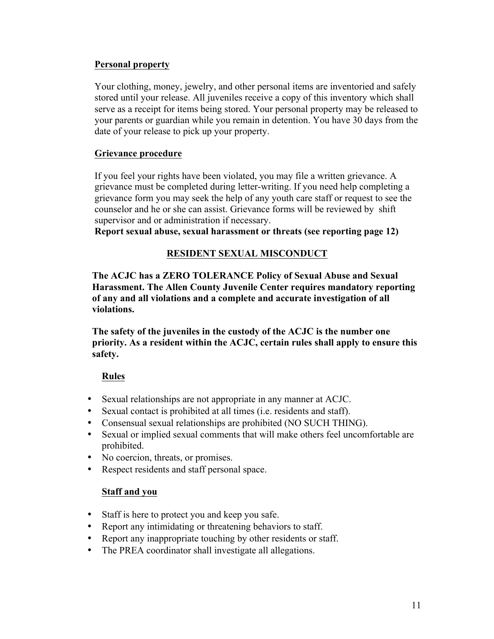## **Personal property**

Your clothing, money, jewelry, and other personal items are inventoried and safely stored until your release. All juveniles receive a copy of this inventory which shall serve as a receipt for items being stored. Your personal property may be released to your parents or guardian while you remain in detention. You have 30 days from the date of your release to pick up your property.

## **Grievance procedure**

If you feel your rights have been violated, you may file a written grievance. A grievance must be completed during letter-writing. If you need help completing a grievance form you may seek the help of any youth care staff or request to see the counselor and he or she can assist. Grievance forms will be reviewed by shift supervisor and or administration if necessary.

**Report sexual abuse, sexual harassment or threats (see reporting page 12)**

## **RESIDENT SEXUAL MISCONDUCT**

 **The ACJC has a ZERO TOLERANCE Policy of Sexual Abuse and Sexual Harassment. The Allen County Juvenile Center requires mandatory reporting of any and all violations and a complete and accurate investigation of all violations.**

 **The safety of the juveniles in the custody of the ACJC is the number one priority. As a resident within the ACJC, certain rules shall apply to ensure this safety.**

## **Rules**

- Sexual relationships are not appropriate in any manner at ACJC.
- Sexual contact is prohibited at all times (i.e. residents and staff).
- Consensual sexual relationships are prohibited (NO SUCH THING).
- Sexual or implied sexual comments that will make others feel uncomfortable are prohibited.
- No coercion, threats, or promises.
- Respect residents and staff personal space.

## **Staff and you**

- Staff is here to protect you and keep you safe.
- Report any intimidating or threatening behaviors to staff.
- Report any inappropriate touching by other residents or staff.
- The PREA coordinator shall investigate all allegations.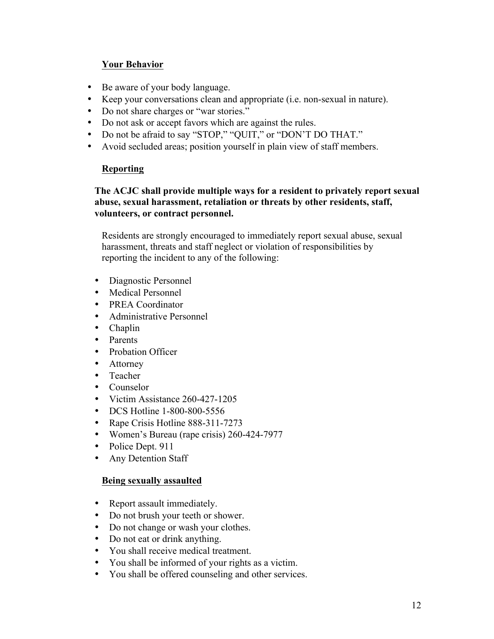## **Your Behavior**

- Be aware of your body language.
- Keep your conversations clean and appropriate (i.e. non-sexual in nature).
- Do not share charges or "war stories."
- Do not ask or accept favors which are against the rules.
- Do not be afraid to say "STOP," "QUIT," or "DON'T DO THAT."
- Avoid secluded areas; position yourself in plain view of staff members.

### **Reporting**

## **The ACJC shall provide multiple ways for a resident to privately report sexual abuse, sexual harassment, retaliation or threats by other residents, staff, volunteers, or contract personnel.**

Residents are strongly encouraged to immediately report sexual abuse, sexual harassment, threats and staff neglect or violation of responsibilities by reporting the incident to any of the following:

- Diagnostic Personnel
- Medical Personnel
- PREA Coordinator
- Administrative Personnel
- Chaplin
- Parents
- Probation Officer
- Attorney
- Teacher
- Counselor
- Victim Assistance 260-427-1205
- DCS Hotline 1-800-800-5556
- Rape Crisis Hotline 888-311-7273
- Women's Bureau (rape crisis) 260-424-7977
- Police Dept. 911
- Any Detention Staff

## **Being sexually assaulted**

- Report assault immediately.
- Do not brush your teeth or shower.
- Do not change or wash your clothes.
- Do not eat or drink anything.
- You shall receive medical treatment.
- You shall be informed of your rights as a victim.
- You shall be offered counseling and other services.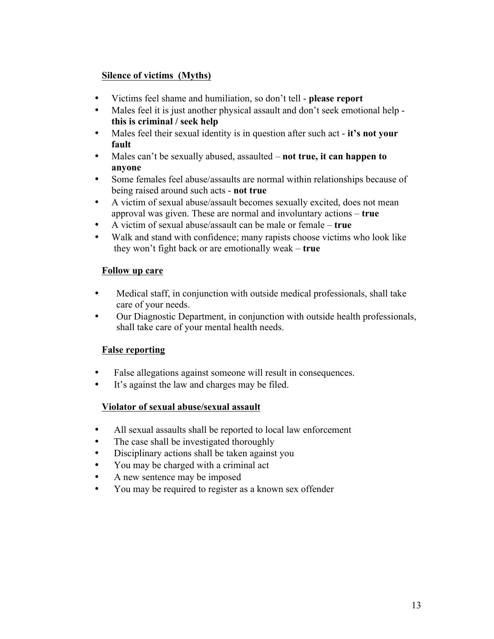## **Silence of victims (Myths)**

- Victims feel shame and humiliation, so don't tell **please report**
- Males feel it is just another physical assault and don't seek emotional help **this is criminal / seek help**
- Males feel their sexual identity is in question after such act **it's not your fault**
- Males can't be sexually abused, assaulted **not true, it can happen to anyone**
- Some females feel abuse/assaults are normal within relationships because of being raised around such acts - **not true**
- A victim of sexual abuse/assault becomes sexually excited, does not mean approval was given. These are normal and involuntary actions – **true**
- A victim of sexual abuse/assault can be male or female **true**
- Walk and stand with confidence; many rapists choose victims who look like they won't fight back or are emotionally weak – **true**

## **Follow up care**

- Medical staff, in conjunction with outside medical professionals, shall take care of your needs.
- Our Diagnostic Department, in conjunction with outside health professionals, shall take care of your mental health needs.

## **False reporting**

- False allegations against someone will result in consequences.
- It's against the law and charges may be filed.

## **Violator of sexual abuse/sexual assault**

- All sexual assaults shall be reported to local law enforcement
- The case shall be investigated thoroughly
- Disciplinary actions shall be taken against you
- You may be charged with a criminal act
- A new sentence may be imposed
- You may be required to register as a known sex offender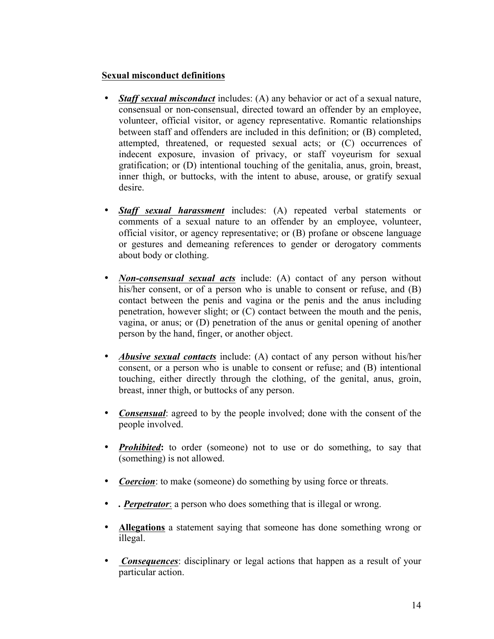### **Sexual misconduct definitions**

- *Staff sexual misconduct* includes: (A) any behavior or act of a sexual nature, consensual or non-consensual, directed toward an offender by an employee, volunteer, official visitor, or agency representative. Romantic relationships between staff and offenders are included in this definition; or (B) completed, attempted, threatened, or requested sexual acts; or (C) occurrences of indecent exposure, invasion of privacy, or staff voyeurism for sexual gratification; or (D) intentional touching of the genitalia, anus, groin, breast, inner thigh, or buttocks, with the intent to abuse, arouse, or gratify sexual desire.
- *Staff sexual harassment* includes: (A) repeated verbal statements or comments of a sexual nature to an offender by an employee, volunteer, official visitor, or agency representative; or (B) profane or obscene language or gestures and demeaning references to gender or derogatory comments about body or clothing.
- *Non-consensual sexual acts* include: (A) contact of any person without his/her consent, or of a person who is unable to consent or refuse, and (B) contact between the penis and vagina or the penis and the anus including penetration, however slight; or (C) contact between the mouth and the penis, vagina, or anus; or (D) penetration of the anus or genital opening of another person by the hand, finger, or another object.
- *Abusive sexual contacts* include: (A) contact of any person without his/her consent, or a person who is unable to consent or refuse; and (B) intentional touching, either directly through the clothing, of the genital, anus, groin, breast, inner thigh, or buttocks of any person.
- *Consensual*: agreed to by the people involved; done with the consent of the people involved.
- *Prohibited*: to order (someone) not to use or do something, to say that (something) is not allowed.
- *Coercion*: to make (someone) do something by using force or threats.
- *. Perpetrator*: a person who does something that is illegal or wrong.
- **Allegations** a statement saying that someone has done something wrong or illegal.
- *Consequences*: disciplinary or legal actions that happen as a result of your particular action.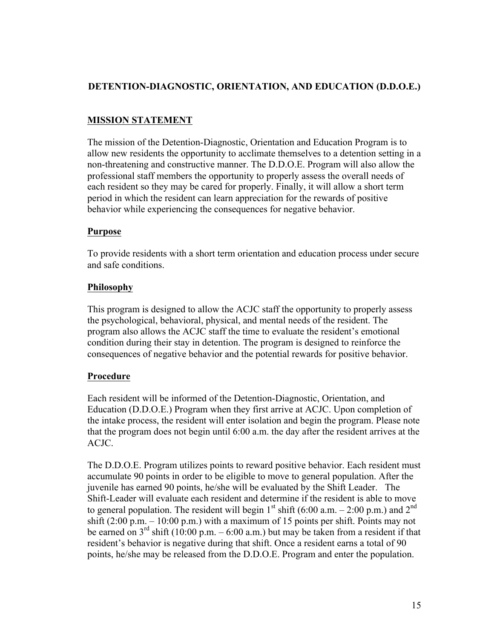## **DETENTION-DIAGNOSTIC, ORIENTATION, AND EDUCATION (D.D.O.E.)**

## **MISSION STATEMENT**

The mission of the Detention-Diagnostic, Orientation and Education Program is to allow new residents the opportunity to acclimate themselves to a detention setting in a non-threatening and constructive manner. The D.D.O.E. Program will also allow the professional staff members the opportunity to properly assess the overall needs of each resident so they may be cared for properly. Finally, it will allow a short term period in which the resident can learn appreciation for the rewards of positive behavior while experiencing the consequences for negative behavior.

## **Purpose**

To provide residents with a short term orientation and education process under secure and safe conditions.

## **Philosophy**

This program is designed to allow the ACJC staff the opportunity to properly assess the psychological, behavioral, physical, and mental needs of the resident. The program also allows the ACJC staff the time to evaluate the resident's emotional condition during their stay in detention. The program is designed to reinforce the consequences of negative behavior and the potential rewards for positive behavior.

## **Procedure**

Each resident will be informed of the Detention-Diagnostic, Orientation, and Education (D.D.O.E.) Program when they first arrive at ACJC. Upon completion of the intake process, the resident will enter isolation and begin the program. Please note that the program does not begin until 6:00 a.m. the day after the resident arrives at the ACJC.

The D.D.O.E. Program utilizes points to reward positive behavior. Each resident must accumulate 90 points in order to be eligible to move to general population. After the juvenile has earned 90 points, he/she will be evaluated by the Shift Leader. The Shift-Leader will evaluate each resident and determine if the resident is able to move to general population. The resident will begin  $1<sup>st</sup>$  shift (6:00 a.m.  $- 2:00$  p.m.) and  $2<sup>nd</sup>$ shift  $(2:00 \text{ p.m.} - 10:00 \text{ p.m.})$  with a maximum of 15 points per shift. Points may not be earned on  $3^{rd}$  shift (10:00 p.m. – 6:00 a.m.) but may be taken from a resident if that resident's behavior is negative during that shift. Once a resident earns a total of 90 points, he/she may be released from the D.D.O.E. Program and enter the population.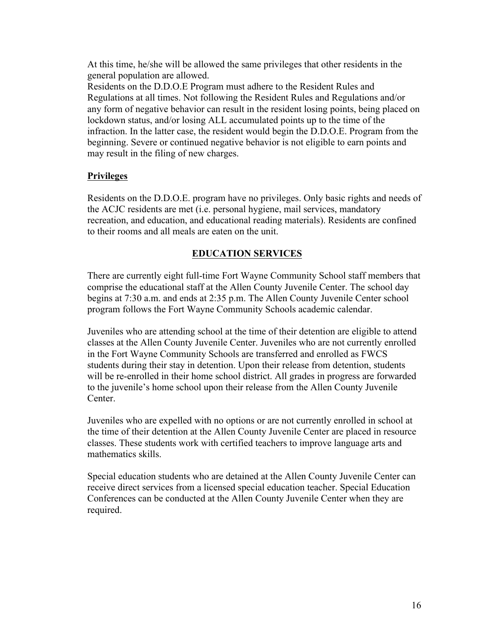At this time, he/she will be allowed the same privileges that other residents in the general population are allowed.

Residents on the D.D.O.E Program must adhere to the Resident Rules and Regulations at all times. Not following the Resident Rules and Regulations and/or any form of negative behavior can result in the resident losing points, being placed on lockdown status, and/or losing ALL accumulated points up to the time of the infraction. In the latter case, the resident would begin the D.D.O.E. Program from the beginning. Severe or continued negative behavior is not eligible to earn points and may result in the filing of new charges.

### **Privileges**

 Residents on the D.D.O.E. program have no privileges. Only basic rights and needs of the ACJC residents are met (i.e. personal hygiene, mail services, mandatory recreation, and education, and educational reading materials). Residents are confined to their rooms and all meals are eaten on the unit.

### **EDUCATION SERVICES**

There are currently eight full-time Fort Wayne Community School staff members that comprise the educational staff at the Allen County Juvenile Center. The school day begins at 7:30 a.m. and ends at 2:35 p.m. The Allen County Juvenile Center school program follows the Fort Wayne Community Schools academic calendar.

Juveniles who are attending school at the time of their detention are eligible to attend classes at the Allen County Juvenile Center. Juveniles who are not currently enrolled in the Fort Wayne Community Schools are transferred and enrolled as FWCS students during their stay in detention. Upon their release from detention, students will be re-enrolled in their home school district. All grades in progress are forwarded to the juvenile's home school upon their release from the Allen County Juvenile Center.

Juveniles who are expelled with no options or are not currently enrolled in school at the time of their detention at the Allen County Juvenile Center are placed in resource classes. These students work with certified teachers to improve language arts and mathematics skills.

Special education students who are detained at the Allen County Juvenile Center can receive direct services from a licensed special education teacher. Special Education Conferences can be conducted at the Allen County Juvenile Center when they are required.